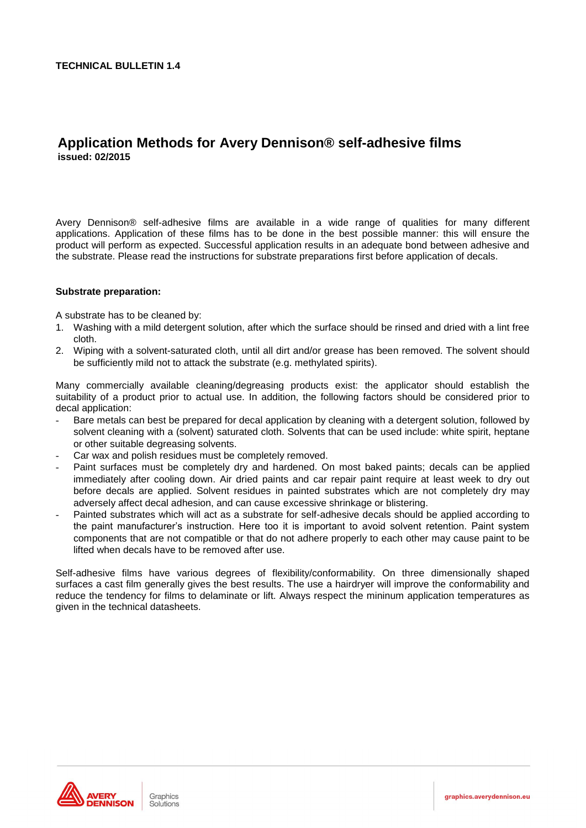# **Application Methods for Avery Dennison® self-adhesive films issued: 02/2015**

Avery Dennison® self-adhesive films are available in a wide range of qualities for many different applications. Application of these films has to be done in the best possible manner: this will ensure the product will perform as expected. Successful application results in an adequate bond between adhesive and the substrate. Please read the instructions for substrate preparations first before application of decals.

#### **Substrate preparation:**

A substrate has to be cleaned by:

- 1. Washing with a mild detergent solution, after which the surface should be rinsed and dried with a lint free cloth.
- 2. Wiping with a solvent-saturated cloth, until all dirt and/or grease has been removed. The solvent should be sufficiently mild not to attack the substrate (e.g. methylated spirits).

Many commercially available cleaning/degreasing products exist: the applicator should establish the suitability of a product prior to actual use. In addition, the following factors should be considered prior to decal application:

- Bare metals can best be prepared for decal application by cleaning with a detergent solution, followed by solvent cleaning with a (solvent) saturated cloth. Solvents that can be used include: white spirit, heptane or other suitable degreasing solvents.
- Car wax and polish residues must be completely removed.
- Paint surfaces must be completely dry and hardened. On most baked paints; decals can be applied immediately after cooling down. Air dried paints and car repair paint require at least week to dry out before decals are applied. Solvent residues in painted substrates which are not completely dry may adversely affect decal adhesion, and can cause excessive shrinkage or blistering.
- Painted substrates which will act as a substrate for self-adhesive decals should be applied according to the paint manufacturer's instruction. Here too it is important to avoid solvent retention. Paint system components that are not compatible or that do not adhere properly to each other may cause paint to be lifted when decals have to be removed after use.

Self-adhesive films have various degrees of flexibility/conformability. On three dimensionally shaped surfaces a cast film generally gives the best results. The use a hairdryer will improve the conformability and reduce the tendency for films to delaminate or lift. Always respect the mininum application temperatures as given in the technical datasheets.

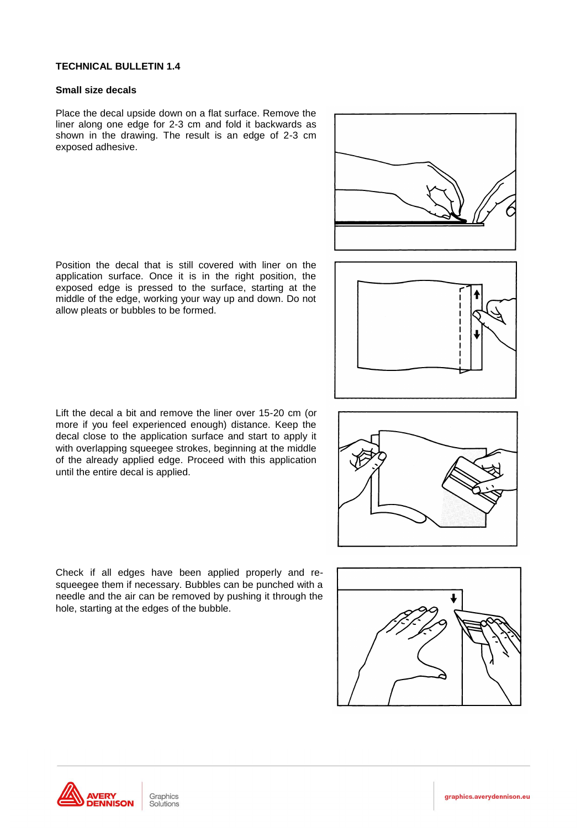#### **Small size decals**

Place the decal upside down on a flat surface. Remove the liner along one edge for 2-3 cm and fold it backwards as shown in the drawing. The result is an edge of 2-3 cm exposed adhesive.

Position the decal that is still covered with liner on the application surface. Once it is in the right position, the exposed edge is pressed to the surface, starting at the middle of the edge, working your way up and down. Do not

allow pleats or bubbles to be formed.







Check if all edges have been applied properly and resqueegee them if necessary. Bubbles can be punched with a needle and the air can be removed by pushing it through the hole, starting at the edges of the bubble.

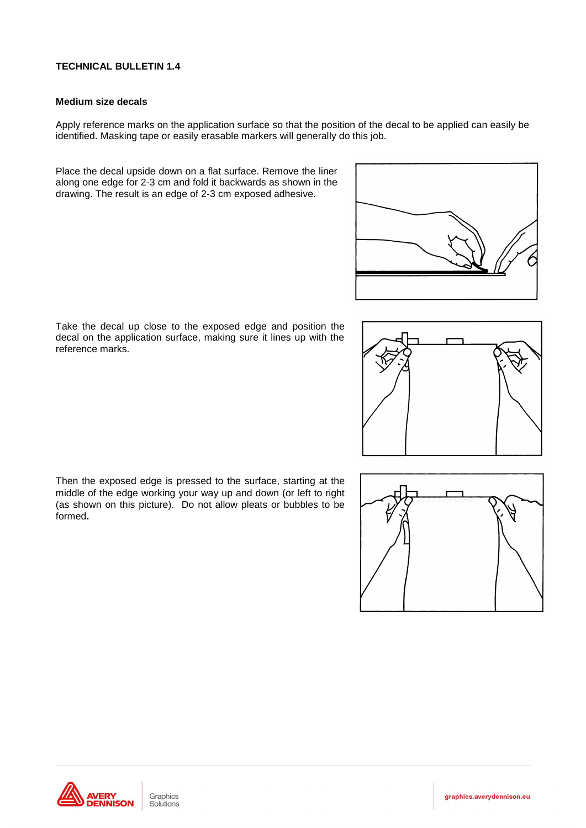#### **Medium size decals**

Apply reference marks on the application surface so that the position of the decal to be applied can easily be identified. Masking tape or easily erasable markers will generally do this job.

Place the decal upside down on a flat surface. Remove the liner along one edge for 2-3 cm and fold it backwards as shown in the drawing. The result is an edge of 2-3 cm exposed adhesive.



Take the decal up close to the exposed edge and position the decal on the application surface, making sure it lines up with the reference marks.







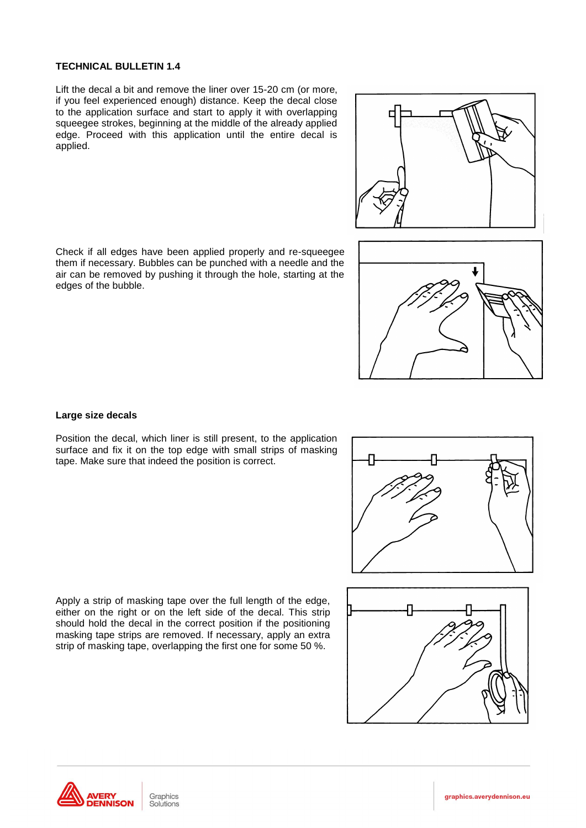Lift the decal a bit and remove the liner over 15-20 cm (or more, if you feel experienced enough) distance. Keep the decal close to the application surface and start to apply it with overlapping squeegee strokes, beginning at the middle of the already applied edge. Proceed with this application until the entire decal is applied.

Check if all edges have been applied properly and re-squeegee them if necessary. Bubbles can be punched with a needle and the air can be removed by pushing it through the hole, starting at the edges of the bubble.

# **Large size decals**

Position the decal, which liner is still present, to the application surface and fix it on the top edge with small strips of masking tape. Make sure that indeed the position is correct.

Apply a strip of masking tape over the full length of the edge, either on the right or on the left side of the decal. This strip should hold the decal in the correct position if the positioning masking tape strips are removed. If necessary, apply an extra strip of masking tape, overlapping the first one for some 50 %.



Graphics Solutions







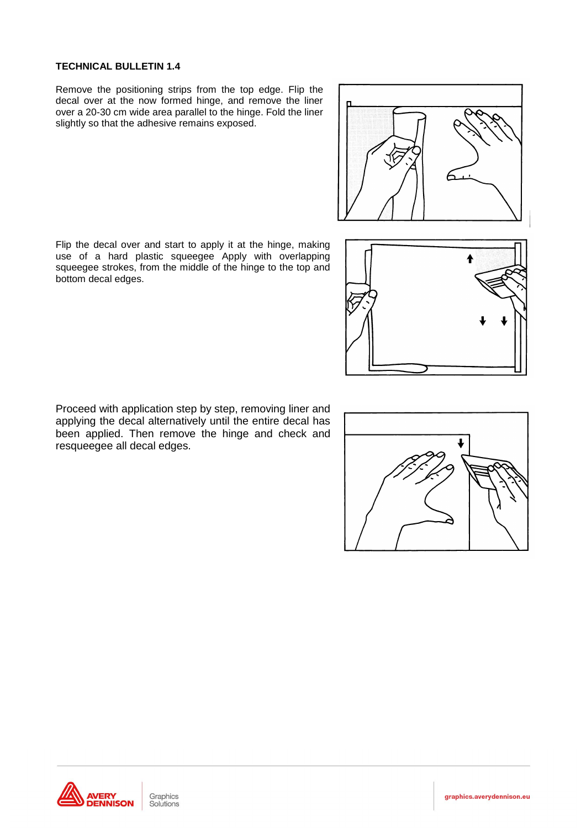Remove the positioning strips from the top edge. Flip the decal over at the now formed hinge, and remove the liner over a 20-30 cm wide area parallel to the hinge. Fold the liner slightly so that the adhesive remains exposed.

Flip the decal over and start to apply it at the hinge, making use of a hard plastic squeegee Apply with overlapping squeegee strokes, from the middle of the hinge to the top and bottom decal edges.

Proceed with application step by step, removing liner and applying the decal alternatively until the entire decal has been applied. Then remove the hinge and check and resqueegee all decal edges.

Graphics

Solutions





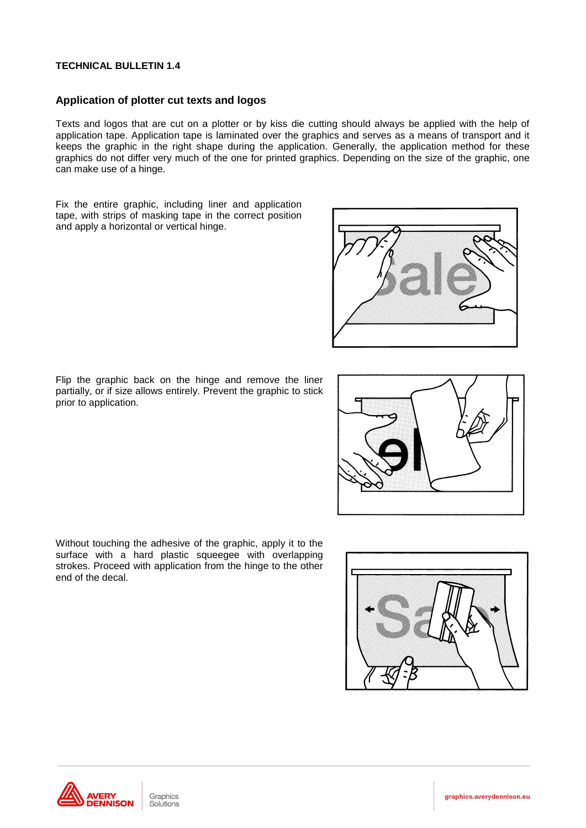# **Application of plotter cut texts and logos**

Texts and logos that are cut on a plotter or by kiss die cutting should always be applied with the help of application tape. Application tape is laminated over the graphics and serves as a means of transport and it keeps the graphic in the right shape during the application. Generally, the application method for these graphics do not differ very much of the one for printed graphics. Depending on the size of the graphic, one can make use of a hinge.

Fix the entire graphic, including liner and application tape, with strips of masking tape in the correct position and apply a horizontal or vertical hinge.

Flip the graphic back on the hinge and remove the liner partially, or if size allows entirely. Prevent the graphic to stick prior to application.

Without touching the adhesive of the graphic, apply it to the surface with a hard plastic squeegee with overlapping strokes. Proceed with application from the hinge to the other end of the decal.







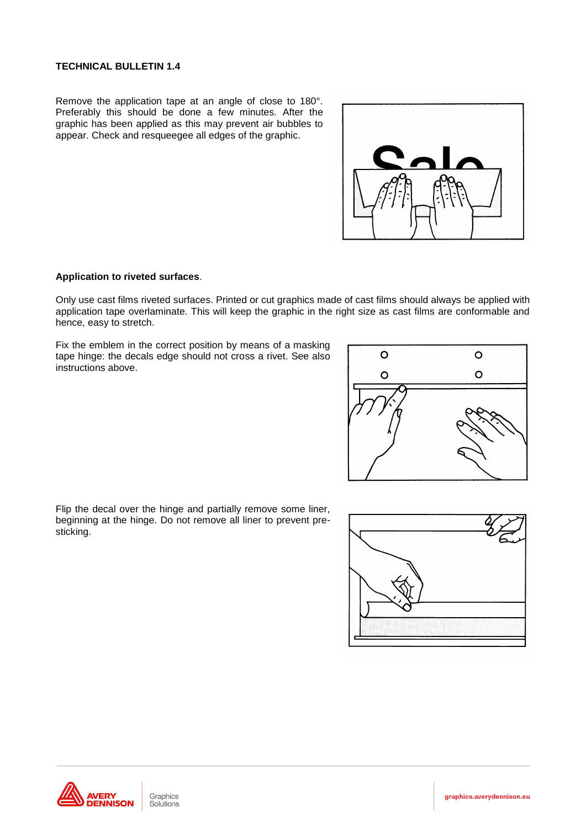Remove the application tape at an angle of close to 180°. Preferably this should be done a few minutes. After the graphic has been applied as this may prevent air bubbles to appear. Check and resqueegee all edges of the graphic.



# **Application to riveted surfaces**.

Only use cast films riveted surfaces. Printed or cut graphics made of cast films should always be applied with application tape overlaminate. This will keep the graphic in the right size as cast films are conformable and hence, easy to stretch.

Fix the emblem in the correct position by means of a masking tape hinge: the decals edge should not cross a rivet. See also instructions above.



Flip the decal over the hinge and partially remove some liner, beginning at the hinge. Do not remove all liner to prevent presticking.



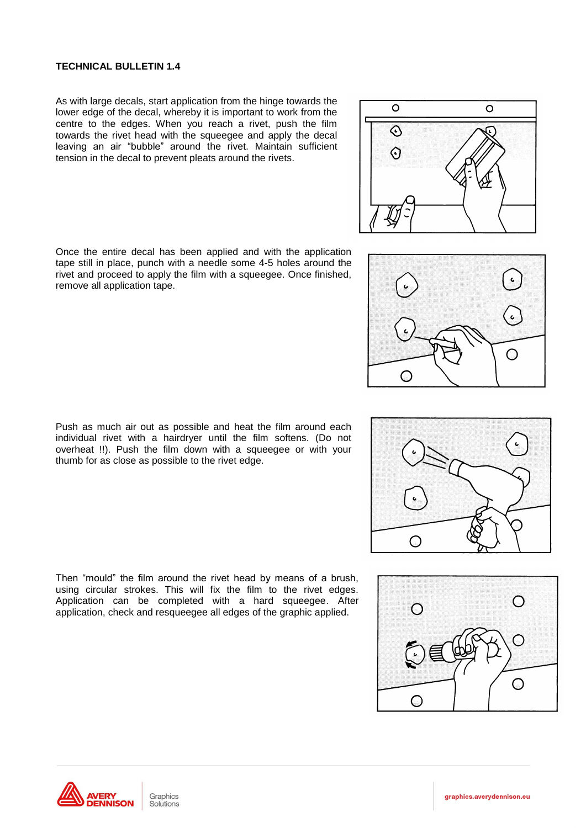As with large decals, start application from the hinge towards the lower edge of the decal, whereby it is important to work from the centre to the edges. When you reach a rivet, push the film towards the rivet head with the squeegee and apply the decal leaving an air "bubble" around the rivet. Maintain sufficient tension in the decal to prevent pleats around the rivets.

Once the entire decal has been applied and with the application tape still in place, punch with a needle some 4-5 holes around the rivet and proceed to apply the film with a squeegee. Once finished, remove all application tape.

Push as much air out as possible and heat the film around each individual rivet with a hairdryer until the film softens. (Do not overheat !!). Push the film down with a squeegee or with your thumb for as close as possible to the rivet edge.

Then "mould" the film around the rivet head by means of a brush, using circular strokes. This will fix the film to the rivet edges. Application can be completed with a hard squeegee. After application, check and resqueegee all edges of the graphic applied.







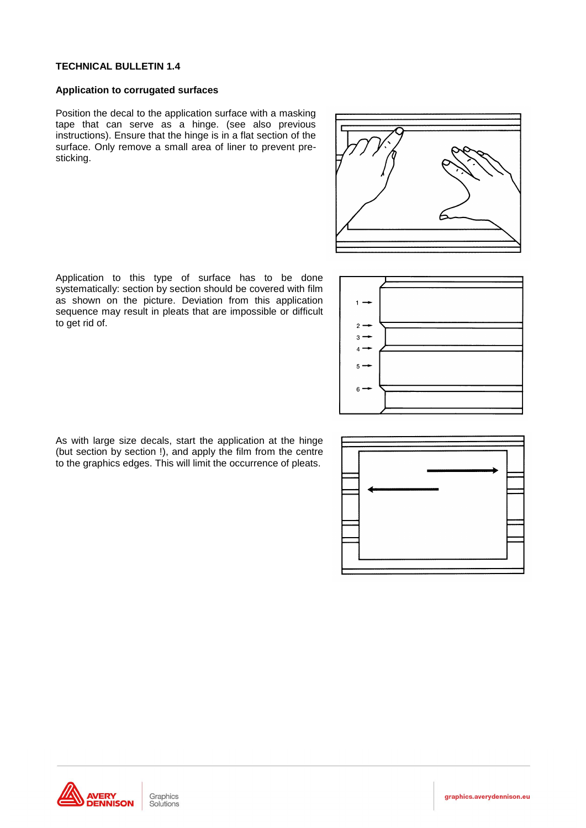#### **Application to corrugated surfaces**

Position the decal to the application surface with a masking tape that can serve as a hinge. (see also previous instructions). Ensure that the hinge is in a flat section of the surface. Only remove a small area of liner to prevent presticking.



Application to this type of surface has to be done systematically: section by section should be covered with film as shown on the picture. Deviation from this application sequence may result in pleats that are impossible or difficult to get rid of.



As with large size decals, start the application at the hinge (but section by section !), and apply the film from the centre to the graphics edges. This will limit the occurrence of pleats.